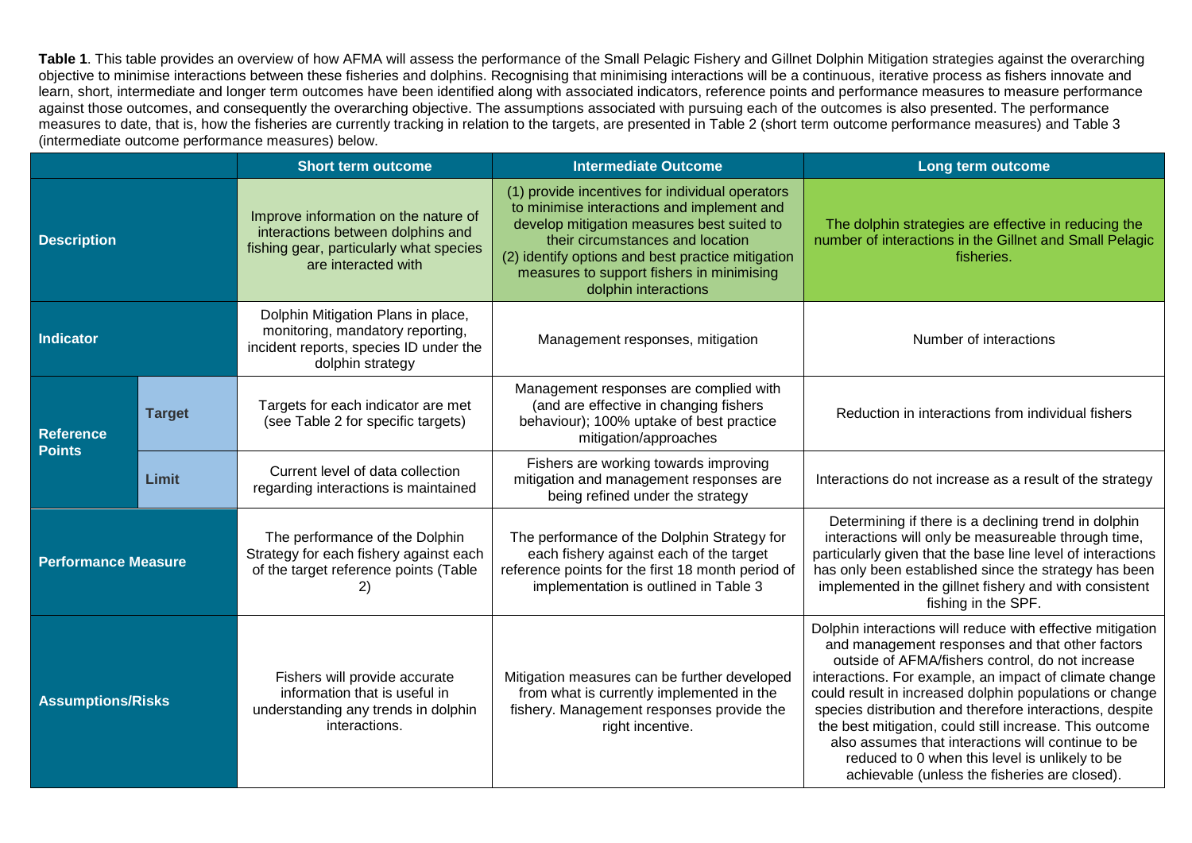**Table 1**. This table provides an overview of how AFMA will assess the performance of the Small Pelagic Fishery and Gillnet Dolphin Mitigation strategies against the overarching objective to minimise interactions between these fisheries and dolphins. Recognising that minimising interactions will be a continuous, iterative process as fishers innovate and learn, short, intermediate and longer term outcomes have been identified along with associated indicators, reference points and performance measures to measure performance against those outcomes, and consequently the overarching objective. The assumptions associated with pursuing each of the outcomes is also presented. The performance measures to date, that is, how the fisheries are currently tracking in relation to the targets, are presented in Table 2 (short term outcome performance measures) and Table 3 (intermediate outcome performance measures) below.

|                                   |               | <b>Short term outcome</b>                                                                                                                   | <b>Intermediate Outcome</b>                                                                                                                                                                                                                                                                               | Long term outcome                                                                                                                                                                                                                                                                                                                                                                                                                                                                                                                                                      |
|-----------------------------------|---------------|---------------------------------------------------------------------------------------------------------------------------------------------|-----------------------------------------------------------------------------------------------------------------------------------------------------------------------------------------------------------------------------------------------------------------------------------------------------------|------------------------------------------------------------------------------------------------------------------------------------------------------------------------------------------------------------------------------------------------------------------------------------------------------------------------------------------------------------------------------------------------------------------------------------------------------------------------------------------------------------------------------------------------------------------------|
| <b>Description</b>                |               | Improve information on the nature of<br>interactions between dolphins and<br>fishing gear, particularly what species<br>are interacted with | (1) provide incentives for individual operators<br>to minimise interactions and implement and<br>develop mitigation measures best suited to<br>their circumstances and location<br>(2) identify options and best practice mitigation<br>measures to support fishers in minimising<br>dolphin interactions | The dolphin strategies are effective in reducing the<br>number of interactions in the Gillnet and Small Pelagic<br>fisheries.                                                                                                                                                                                                                                                                                                                                                                                                                                          |
| <b>Indicator</b>                  |               | Dolphin Mitigation Plans in place,<br>monitoring, mandatory reporting,<br>incident reports, species ID under the<br>dolphin strategy        | Management responses, mitigation                                                                                                                                                                                                                                                                          | Number of interactions                                                                                                                                                                                                                                                                                                                                                                                                                                                                                                                                                 |
| <b>Reference</b><br><b>Points</b> | <b>Target</b> | Targets for each indicator are met<br>(see Table 2 for specific targets)                                                                    | Management responses are complied with<br>(and are effective in changing fishers<br>behaviour); 100% uptake of best practice<br>mitigation/approaches                                                                                                                                                     | Reduction in interactions from individual fishers                                                                                                                                                                                                                                                                                                                                                                                                                                                                                                                      |
|                                   | <b>Limit</b>  | Current level of data collection<br>regarding interactions is maintained                                                                    | Fishers are working towards improving<br>mitigation and management responses are<br>being refined under the strategy                                                                                                                                                                                      | Interactions do not increase as a result of the strategy                                                                                                                                                                                                                                                                                                                                                                                                                                                                                                               |
| <b>Performance Measure</b>        |               | The performance of the Dolphin<br>Strategy for each fishery against each<br>of the target reference points (Table<br>2)                     | The performance of the Dolphin Strategy for<br>each fishery against each of the target<br>reference points for the first 18 month period of<br>implementation is outlined in Table 3                                                                                                                      | Determining if there is a declining trend in dolphin<br>interactions will only be measureable through time,<br>particularly given that the base line level of interactions<br>has only been established since the strategy has been<br>implemented in the gillnet fishery and with consistent<br>fishing in the SPF.                                                                                                                                                                                                                                                   |
| <b>Assumptions/Risks</b>          |               | Fishers will provide accurate<br>information that is useful in<br>understanding any trends in dolphin<br>interactions.                      | Mitigation measures can be further developed<br>from what is currently implemented in the<br>fishery. Management responses provide the<br>right incentive.                                                                                                                                                | Dolphin interactions will reduce with effective mitigation<br>and management responses and that other factors<br>outside of AFMA/fishers control, do not increase<br>interactions. For example, an impact of climate change<br>could result in increased dolphin populations or change<br>species distribution and therefore interactions, despite<br>the best mitigation, could still increase. This outcome<br>also assumes that interactions will continue to be<br>reduced to 0 when this level is unlikely to be<br>achievable (unless the fisheries are closed). |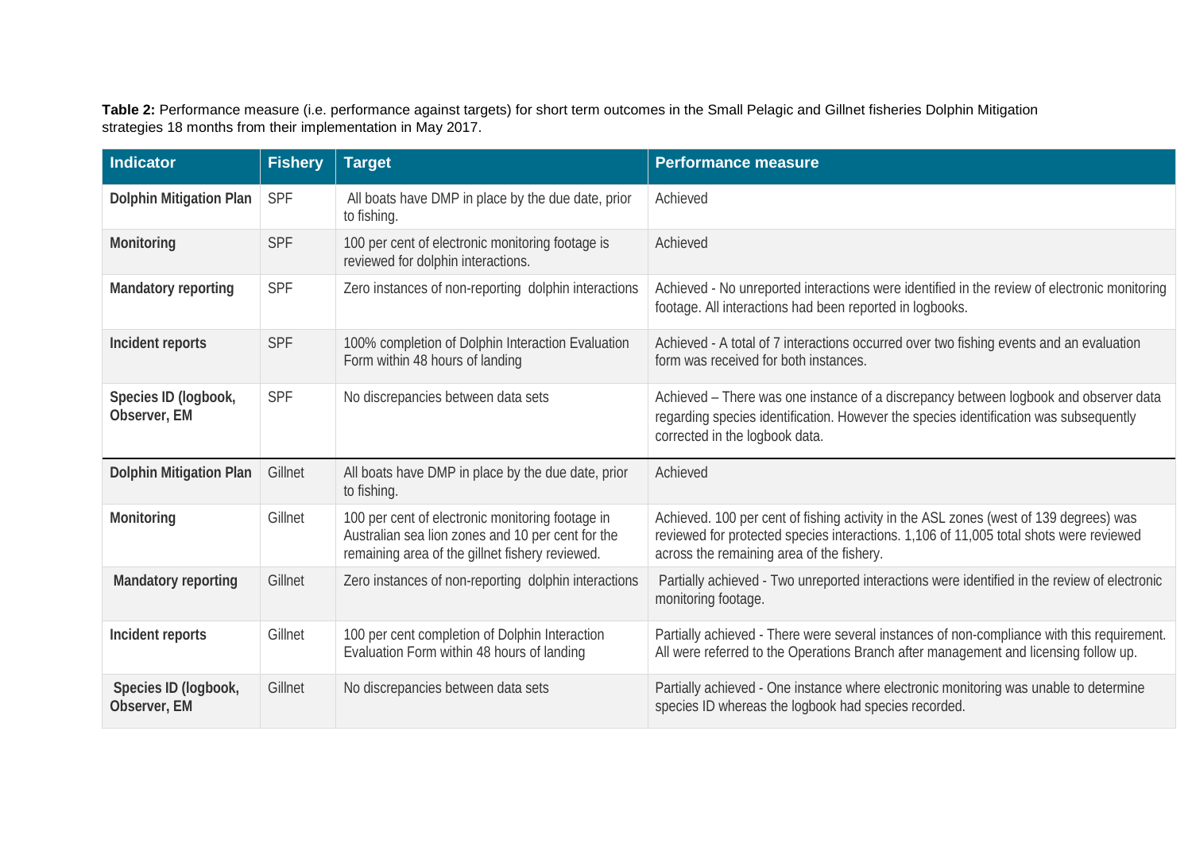**Table 2:** Performance measure (i.e. performance against targets) for short term outcomes in the Small Pelagic and Gillnet fisheries Dolphin Mitigation strategies 18 months from their implementation in May 2017.

| <b>Indicator</b>                     | <b>Fishery</b> | <b>Target</b>                                                                                                                                            | <b>Performance measure</b>                                                                                                                                                                                                   |
|--------------------------------------|----------------|----------------------------------------------------------------------------------------------------------------------------------------------------------|------------------------------------------------------------------------------------------------------------------------------------------------------------------------------------------------------------------------------|
| <b>Dolphin Mitigation Plan</b>       | <b>SPF</b>     | All boats have DMP in place by the due date, prior<br>to fishing.                                                                                        | Achieved                                                                                                                                                                                                                     |
| Monitoring                           | <b>SPF</b>     | 100 per cent of electronic monitoring footage is<br>reviewed for dolphin interactions.                                                                   | Achieved                                                                                                                                                                                                                     |
| Mandatory reporting                  | <b>SPF</b>     | Zero instances of non-reporting dolphin interactions                                                                                                     | Achieved - No unreported interactions were identified in the review of electronic monitoring<br>footage. All interactions had been reported in logbooks.                                                                     |
| Incident reports                     | <b>SPF</b>     | 100% completion of Dolphin Interaction Evaluation<br>Form within 48 hours of landing                                                                     | Achieved - A total of 7 interactions occurred over two fishing events and an evaluation<br>form was received for both instances.                                                                                             |
| Species ID (logbook,<br>Observer, EM | <b>SPF</b>     | No discrepancies between data sets                                                                                                                       | Achieved - There was one instance of a discrepancy between logbook and observer data<br>regarding species identification. However the species identification was subsequently<br>corrected in the logbook data.              |
| <b>Dolphin Mitigation Plan</b>       | Gillnet        | All boats have DMP in place by the due date, prior<br>to fishing.                                                                                        | Achieved                                                                                                                                                                                                                     |
| Monitoring                           | Gillnet        | 100 per cent of electronic monitoring footage in<br>Australian sea lion zones and 10 per cent for the<br>remaining area of the gillnet fishery reviewed. | Achieved. 100 per cent of fishing activity in the ASL zones (west of 139 degrees) was<br>reviewed for protected species interactions. 1,106 of 11,005 total shots were reviewed<br>across the remaining area of the fishery. |
| Mandatory reporting                  | Gillnet        | Zero instances of non-reporting dolphin interactions                                                                                                     | Partially achieved - Two unreported interactions were identified in the review of electronic<br>monitoring footage.                                                                                                          |
| Incident reports                     | Gillnet        | 100 per cent completion of Dolphin Interaction<br>Evaluation Form within 48 hours of landing                                                             | Partially achieved - There were several instances of non-compliance with this requirement.<br>All were referred to the Operations Branch after management and licensing follow up.                                           |
| Species ID (logbook,<br>Observer, EM | Gillnet        | No discrepancies between data sets                                                                                                                       | Partially achieved - One instance where electronic monitoring was unable to determine<br>species ID whereas the logbook had species recorded.                                                                                |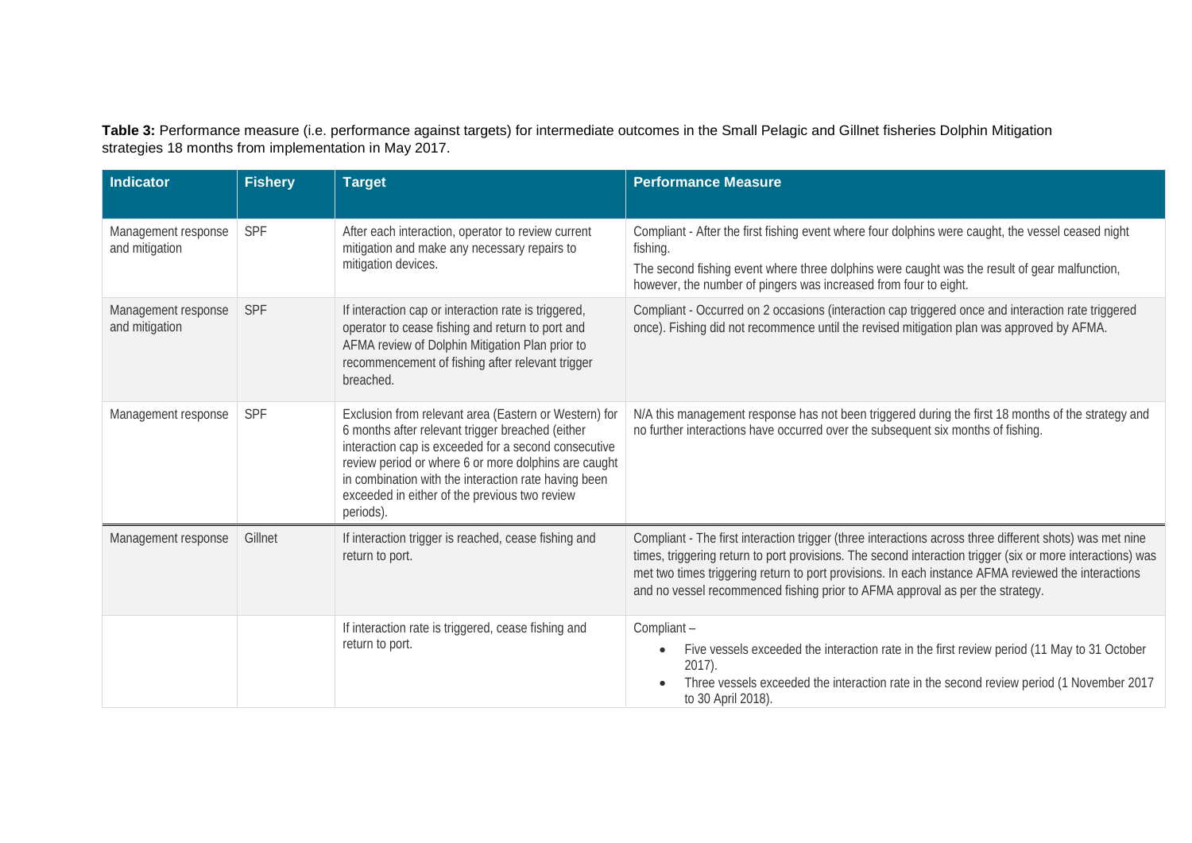**Table 3:** Performance measure (i.e. performance against targets) for intermediate outcomes in the Small Pelagic and Gillnet fisheries Dolphin Mitigation strategies 18 months from implementation in May 2017.

| <b>Indicator</b>                      | <b>Fishery</b> | <b>Target</b>                                                                                                                                                                                                                                                                                                                                   | <b>Performance Measure</b>                                                                                                                                                                                                                                                                                                                                                                                     |
|---------------------------------------|----------------|-------------------------------------------------------------------------------------------------------------------------------------------------------------------------------------------------------------------------------------------------------------------------------------------------------------------------------------------------|----------------------------------------------------------------------------------------------------------------------------------------------------------------------------------------------------------------------------------------------------------------------------------------------------------------------------------------------------------------------------------------------------------------|
| Management response<br>and mitigation | SPF            | After each interaction, operator to review current<br>mitigation and make any necessary repairs to<br>mitigation devices.                                                                                                                                                                                                                       | Compliant - After the first fishing event where four dolphins were caught, the vessel ceased night<br>fishing.<br>The second fishing event where three dolphins were caught was the result of gear malfunction,<br>however, the number of pingers was increased from four to eight.                                                                                                                            |
| Management response<br>and mitigation | SPF            | If interaction cap or interaction rate is triggered,<br>operator to cease fishing and return to port and<br>AFMA review of Dolphin Mitigation Plan prior to<br>recommencement of fishing after relevant trigger<br>breached.                                                                                                                    | Compliant - Occurred on 2 occasions (interaction cap triggered once and interaction rate triggered<br>once). Fishing did not recommence until the revised mitigation plan was approved by AFMA.                                                                                                                                                                                                                |
| Management response                   | SPF            | Exclusion from relevant area (Eastern or Western) for<br>6 months after relevant trigger breached (either<br>interaction cap is exceeded for a second consecutive<br>review period or where 6 or more dolphins are caught<br>in combination with the interaction rate having been<br>exceeded in either of the previous two review<br>periods). | N/A this management response has not been triggered during the first 18 months of the strategy and<br>no further interactions have occurred over the subsequent six months of fishing.                                                                                                                                                                                                                         |
| Management response                   | Gillnet        | If interaction trigger is reached, cease fishing and<br>return to port.                                                                                                                                                                                                                                                                         | Compliant - The first interaction trigger (three interactions across three different shots) was met nine<br>times, triggering return to port provisions. The second interaction trigger (six or more interactions) was<br>met two times triggering return to port provisions. In each instance AFMA reviewed the interactions<br>and no vessel recommenced fishing prior to AFMA approval as per the strategy. |
|                                       |                | If interaction rate is triggered, cease fishing and<br>return to port.                                                                                                                                                                                                                                                                          | Compliant -<br>Five vessels exceeded the interaction rate in the first review period (11 May to 31 October<br>$\bullet$<br>$2017$ ).<br>Three vessels exceeded the interaction rate in the second review period (1 November 2017<br>to 30 April 2018).                                                                                                                                                         |